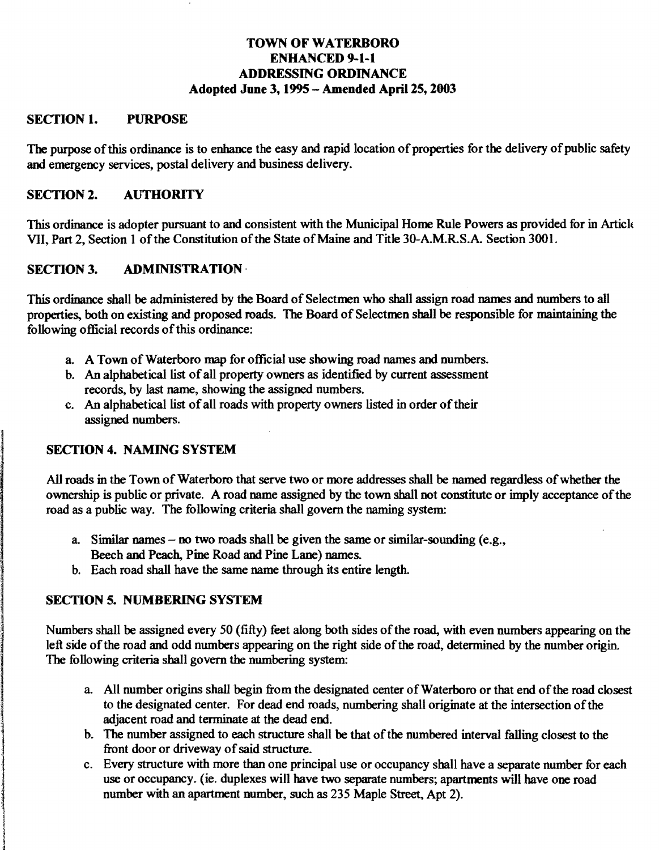## TOWN OF WATERBORO ENHANCED 9-1-1 ADDRESSING ORDINANCE Adopted June 3, 1995 - Amended April 25, 2003

#### SECTION 1. PURPOSE

The purpose of this ordinance is to enhance the easy and rapid location of properties for the delivery of public safety and emergency services, postal delivery and business delivery.

#### SECTION 2. AUTHORITY

This ordinance is adopter pursuant to and consistent with the Municipal Home Rule Powers as provided for in Articlt VII, Part 2, Section 1 of the Constitution of the State of Maine and Title 30-A.M.R.S.A. Section 3001.

#### SECTION 3. ADMINISTRATION

This ordinance shall be administered by the Board of Selectmen who shall assign road names and numbers to all properties, both on existing and proposed roads. The Board of Selectmen shall be responsible for maintaining the following official records of this ordinance:

- a. A Town of Waterboro map for official use showing road names and numbers.
- b. An alphabetical list of all property owners as identified by current assessment records, by last name, showing the assigned numbers.
- c. An alphabetical list of all roads with property owners listed in order of their assigned numbers.

# SECTION 4. NAMING SYSTEM

All roads in the Town of Waterboro that serve two or more addresses shall be named regardless of whether the ownership is public or private. A road name assigned by the town shall not constitute or imply acceptance of the road as a public way. The following criteria shall govern the naming system:

- a. Similar names no two roads shall be given the same or similar-sounding (e.g., Beech and Peach, Pine Road and Pine Lane) names.
- b. Each road shall have the same name through its entire length.

# SECTION 5. NUMBERING SYSTEM

Numbers shall be assigned every 50 (fifty) feet along both sides of the road, with even numbers appearing on the left side of the road and odd numbers appearing on the right side of the road, determined by the number origin. The following criteria shall govern the numbering system:

- a. All number origins shall begin from the designated center of Waterboro or that end of the road closest to the designated center. For dead end roads, numbering shall originate at the intersection of the adjacent road and terminate at the dead end.
- b. The number assigned to each structure shall be that of the numbered interval falling closest to the front door or driveway of said structure.
- c. Every structure with more than one principal use or occupancy shall have a separate number for each use or occupancy. (ie. duplexes will have two separate numbers; apartments will have one road number with an apartment number, such as 235 Maple Street, Apt 2).